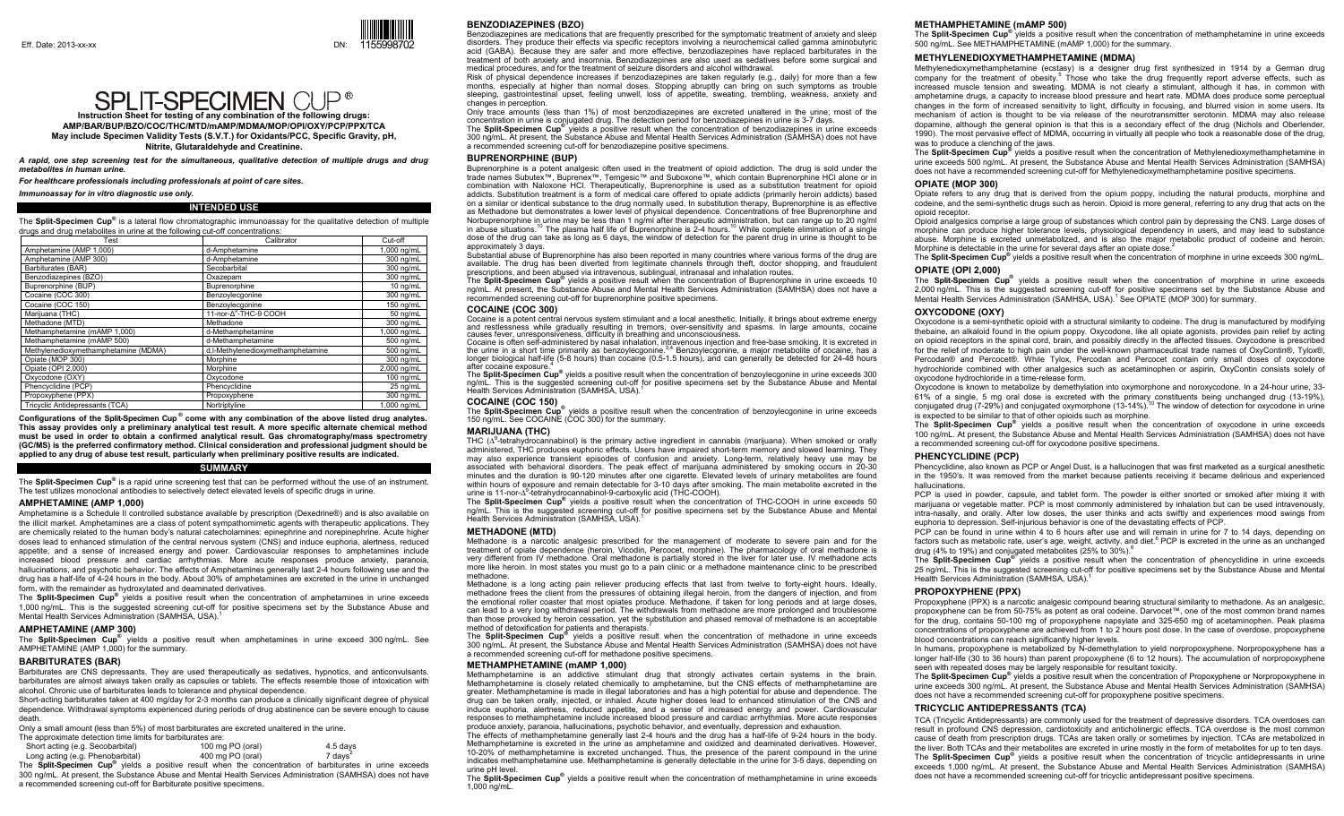# **SPLIT-SPECIMEN CUP®**

**Instruction Sheet for testing of any combination of the following drugs: AMP/BAR/BUP/BZO/COC/THC/MTD/mAMP/MDMA/MOP/OPI/OXY/PCP/PPX/TCA May include Specimen Validity Tests (S.V.T.) for Oxidants/PCC, Specific Gravity, pH, Nitrite, Glutaraldehyde and Creatinine.**

*A rapid, one step screening test for the simultaneous, qualitative detection of multiple drugs and drug metabolites in human urine.* 

*For healthcare professionals including professionals at point of care sites.* 

*Immunoassay for in vitro diagnostic use only.*

#### **INTENDED USE**

The **Split-Specimen Cup®** is a lateral flow chromatographic immunoassay for the qualitative detection of multiple drugs and drug metabolites in urine at the following cut-off concentrations:

| Test                                 | Calibrator                        | Cut-off     |
|--------------------------------------|-----------------------------------|-------------|
| Amphetamine (AMP 1,000)              | d-Amphetamine                     | 1,000 ng/mL |
| Amphetamine (AMP 300)                | d-Amphetamine                     | 300 ng/mL   |
| Barbiturates (BAR)                   | Secobarbital                      | 300 ng/mL   |
| Benzodiazepines (BZO)                | Oxazepam                          | 300 ng/mL   |
| Buprenorphine (BUP)                  | Buprenorphine                     | 10 ng/mL    |
| Cocaine (COC 300)                    | Benzoylecgonine                   | 300 ng/mL   |
| Cocaine (COC 150)                    | Benzoylecgonine                   | 150 ng/mL   |
| Marijuana (THC)                      | 11-nor-A <sup>9</sup> -THC-9 COOH | 50 ng/mL    |
| Methadone (MTD)                      | Methadone                         | 300 ng/mL   |
| Methamphetamine (mAMP 1,000)         | d-Methamphetamine                 | 1,000 ng/mL |
| Methamphetamine (mAMP 500)           | d-Methamphetamine                 | 500 ng/mL   |
| Methylenedioxymethamphetamine (MDMA) | d,I-Methylenedioxymethamphetamine | 500 ng/mL   |
| Opiate (MOP 300)                     | Morphine                          | 300 ng/mL   |
| Opiate (OPI 2,000)                   | Morphine                          | 2,000 ng/mL |
| Oxycodone (OXY)                      | Oxycodone                         | 100 ng/mL   |
| Phencyclidine (PCP)                  | Phencyclidine                     | 25 ng/mL    |
| Propoxyphene (PPX)                   | Propoxyphene                      | 300 ng/mL   |
| Tricyclic Antidepressants (TCA)      | Nortriptyline                     | 1.000 ng/mL |

**Configurations of the Split-Specimen Cup ® come with any combination of the above listed drug analytes. This assay provides only a preliminary analytical test result. A more specific alternate chemical method must be used in order to obtain a confirmed analytical result. Gas chromatography/mass spectrometry (GC/MS) is the preferred confirmatory method. Clinical consideration and professional judgment should be applied to any drug of abuse test result, particularly when preliminary positive results are indicated.** 

### **SUMMARY**

The **Split-Specimen Cup®** is a rapid urine screening test that can be performed without the use of an instrument. The test utilizes monoclonal antibodies to selectively detect elevated levels of specific drugs in urine.

### **AMPHETAMINE (AMP 1,000)**

Amphetamine is a Schedule II controlled substance available by prescription (Dexedrine®) and is also available on the illicit market. Amphetamines are a class of potent sympathomimetic agents with therapeutic applications. They are chemically related to the human body's natural catecholamines: epinephrine and norepinephrine. Acute higher doses lead to enhanced stimulation of the central nervous system (CNS) and induce euphoria, alertness, reduced appetite, and a sense of increased energy and power. Cardiovascular responses to amphetamines include increased blood pressure and cardiac arrhythmias. More acute responses produce anxiety, paranoia, hallucinations, and psychotic behavior. The effects of Amphetamines generally last 2-4 hours following use and the drug has a half-life of 4-24 hours in the body. About 30% of amphetamines are excreted in the urine in unchanged form, with the remainder as hydroxylated and deaminated derivatives.

The **Split-Specimen Cup®** yields a positive result when the concentration of amphetamines in urine exceeds 1,000 ng/mL. This is the suggested screening cut-off for positive specimens set by the Substance Abuse and Mental Health Services Administration (SAMHSA, USA).<sup>1</sup>

### **AMPHETAMINE (AMP 300)**

The **Split-Specimen Cup®** yields a positive result when amphetamines in urine exceed 300 ng/mL. See AMPHETAMINE (AMP 1,000) for the summary.

### **BARBITURATES (BAR)**

Barbiturates are CNS depressants. They are used therapeutically as sedatives, hypnotics, and anticonvulsants. barbiturates are almost always taken orally as capsules or tablets. The effects resemble those of intoxication with alcohol. Chronic use of barbiturates leads to tolerance and physical dependence.

Short-acting barbiturates taken at 400 mg/day for 2-3 months can produce a clinically significant degree of physical dependence. Withdrawal symptoms experienced during periods of drug abstinence can be severe enough to cause death.

Only a small amount (less than 5%) of most barbiturates are excreted unaltered in the urine.

The approximate detection time limits for barbiturates are:

| Short acting (e.g. Secobarbital) | 100 mg PO (oral) | 4.5 days            |
|----------------------------------|------------------|---------------------|
| Long acting (e.g. Phenobarbital) | 400 mg PO (oral) | 7 days <sup>2</sup> |
|                                  |                  |                     |

The **Split-Specimen Cup®** yields a positive result when the concentration of barbiturates in urine exceeds 300 ng/mL. At present, the Substance Abuse and Mental Health Services Administration (SAMHSA) does not have a recommended screening cut-off for Barbiturate positive specimens.

### **BENZODIAZEPINES (BZO)**

Benzodiazepines are medications that are frequently prescribed for the symptomatic treatment of anxiety and sleep disorders. They produce their effects via specific receptors involving a neurochemical called gamma aminobutyric acid (GABA). Because they are safer and more effective, benzodiazepines have replaced barbiturates in the treatment of both anxiety and insomnia. Benzodiazepines are also used as sedatives before some surgical and medical procedures, and for the treatment of seizure disorders and alcohol withdrawal.

Risk of physical dependence increases if benzodiazepines are taken regularly (e.g., daily) for more than a few months, especially at higher than normal doses. Stopping abruptly can bring on such symptoms as trouble sleeping, gastrointestinal upset, feeling unwell, loss of appetite, sweating, trembling, weakness, anxiety and changes in perception.

Only trace amounts (less than 1%) of most benzodiazepines are excreted unaltered in the urine; most of the concentration in urine is conjugated drug. The detection period for benzodiazepines in urine is 3-7 days.

The **Split-Specimen Cup®** yields a positive result when the concentration of benzodiazepines in urine exceeds 300 ng/mL. At present, the Substance Abuse and Mental Health Services Administration (SAMHSA) does not have a recommended screening cut-off for benzodiazepine positive specimens.

### **BUPRENORPHINE (BUP)**

Buprenorphine is a potent analgesic often used in the treatment of opioid addiction. The drug is sold under the trade names Subutex™, Buprenex™, Temgesic™ and Suboxone™, which contain Buprenorphine HCl alone or in combination with Naloxone HCl. Therapeutically, Buprenorphine is used as a substitution treatment for opioid addicts. Substitution treatment is a form of medical care offered to opiate addicts (primarily heroin addicts) based on a similar or identical substance to the drug normally used. In substitution therapy, Buprenorphine is as effective as Methadone but demonstrates a lower level of physical dependence. Concentrations of free Buprenorphine and Norbuprenorphine in urine may be less than 1 ng/ml after therapeutic administration, but can range up to 20 ng/ml in abuse situations.<sup>10</sup> The plasma half life of Buprenorphine is 2-4 hours.<sup>10</sup> While complete elimination of a single dose of the drug can take as long as 6 days, the window of detection for the parent drug in urine is thought to be approximately 3 days.

Substantial abuse of Buprenorphine has also been reported in many countries where various forms of the drug are available. The drug has been diverted from legitimate channels through theft, doctor shopping, and fraudulent prescriptions, and been abused via intravenous, sublingual, intranasal and inhalation routes.

The **Split-Specimen Cup®** yields a positive result when the concentration of Buprenorphine in urine exceeds 10 ng/mL. At present, the Substance Abuse and Mental Health Services Administration (SAMHSA) does not have a recommended screening cut-off for buprenorphine positive specimens.

### **COCAINE (COC 300)**

Cocaine is a potent central nervous system stimulant and a local anesthetic. Initially, it brings about extreme energy and restlessness while gradually resulting in tremors, over-sensitivity and spasms. In large amounts, cocaine causes fever, unresponsiveness, difficulty in breathing and unconsciousness.

Cocaine is often self-administered by nasal inhalation, intravenous injection and free-base smoking. It is excreted in<br>the urine in a short time primarily as benzoylecgonine.<sup>3,4</sup> Benzoylecgonine, a major metabolite of coc longer biological half-life (5-8 hours) than cocaine (0.5-1.5 hours), and can generally be detected for 24-48 hours after cocaine exposure.

The **Split-Specimen Cup®** yields a positive result when the concentration of benzoylecgonine in urine exceeds 300 ng/mL. This is the suggested screening cut-off for positive specimens set by the Substance Abuse and Mental Health Services Administration (SAMHSA, USA).<sup>1</sup>

**COCAINE (COC 150)**<br>The **Split-Specimen Cup<sup>®</sup> vi**elds a positive result when the concentration of benzoylecgonine in urine exceeds<br>150 ng/mL. See COCAINE (COC 300) for the summary.

### **MARIJUANA (THC)**

THC (Δ<sup>9</sup>-tetrahydrocannabinol) is the primary active ingredient in cannabis (marijuana). When smoked or orally administered, THC produces euphoric effects. Users have impaired short-term memory and slowed learning. They may also experience transient episodes of confusion and anxiety. Long-term, relatively heavy use may be associated with behavioral disorders. The peak effect of marijuana administered by smoking occurs in 20-30 minutes and the duration is 90-120 minutes after one cigarette. Elevated levels of urinary metabolites are found within hours of exposure and remain detectable for 3-10 days after smoking. The main metabolite excreted in the urine is 11-nor-Δ9-tetrahydrocannabinol-9-carboxylic acid (THC-COOH).

The **Split-Specimen Cup®** yields a positive result when the concentration of THC-COOH in urine exceeds 50 ng/mL. This is the suggested screening cut-off for positive specimens set by the Substance Abuse and Mental Health Services Administration (SAMHSA, USA).

#### **METHADONE (MTD)**

Methadone is a narcotic analgesic prescribed for the management of moderate to severe pain and for the treatment of opiate dependence (heroin, Vicodin, Percocet, morphine). The pharmacology of oral methadone is very different from IV methadone. Oral methadone is partially stored in the liver for later use. IV methadone acts more like heroin. In most states you must go to a pain clinic or a methadone maintenance clinic to be prescribed methadone.

 Methadone is a long acting pain reliever producing effects that last from twelve to forty-eight hours. Ideally, methadone frees the client from the pressures of obtaining illegal heroin, from the dangers of injection, and from the emotional roller coaster that most opiates produce. Methadone, if taken for long periods and at large doses, can lead to a very long withdrawal period. The withdrawals from methadone are more prolonged and troublesome than those provoked by heroin cessation, yet the substitution and phased removal of methadone is an acceptable method of detoxification for patients and therapists.<sup>7</sup>

The Split-Specimen Cup<sup>®</sup> yields a positive result when the concentration of methadone in urine exceeds<br>300 ng/mL. At present, the Substance Abuse and Mental Health Services Administration (SAMHSA) does not have a recommended screening cut-off for methadone positive specimens.

### **METHAMPHETAMINE (mAMP 1,000)**

Methamphetamine is an addictive stimulant drug that strongly activates certain systems in the brain. Methamphetamine is closely related chemically to amphetamine, but the CNS effects of methamphetamine are greater. Methamphetamine is made in illegal laboratories and has a high potential for abuse and dependence. The drug can be taken orally, injected, or inhaled. Acute higher doses lead to enhanced stimulation of the CNS and induce euphoria, alertness, reduced appetite, and a sense of increased energy and power. Cardiovascular responses to methamphetamine include increased blood pressure and cardiac arrhythmias. More acute responses produce anxiety, paranoia, hallucinations, psychotic behavior, and eventually, depression and exhaustion.

The effects of methamphetamine generally last 2-4 hours and the drug has a half-life of 9-24 hours in the body. Methamphetamine is excreted in the urine as amphetamine and oxidized and deaminated derivatives. However, 10-20% of methamphetamine is excreted unchanged. Thus, the presence of the parent compound in the urine indicates methamphetamine use. Methamphetamine is generally detectable in the urine for 3-5 days, depending on urine pH level.

The **Split-Specimen Cup®** yields a positive result when the concentration of methamphetamine in urine exceeds 1,000 ng/mL.

#### **METHAMPHETAMINE (mAMP 500)**

The **Split-Specimen Cup®** yields a positive result when the concentration of methamphetamine in urine exceeds 500 ng/mL. See METHAMPHETAMINE (mAMP 1,000) for the summary.

### **METHYLENEDIOXYMETHAMPHETAMINE (MDMA)**

Methylenedioxymethamphetamine (ecstasy) is a designer drug first synthesized in 1914 by a German drug company for the treatment of obesity.<sup>5</sup> Those who take the drug frequently report adverse effects, such as increased muscle tension and sweating. MDMA is not clearly a stimulant, although it has, in common with amphetamine drugs, a capacity to increase blood pressure and heart rate. MDMA does produce some perceptual changes in the form of increased sensitivity to light, difficulty in focusing, and blurred vision in some users. Its mechanism of action is thought to be via release of the neurotransmitter serotonin. MDMA may also release dopamine, although the general opinion is that this is a secondary effect of the drug (Nichols and Oberlender, 1990). The most pervasive effect of MDMA, occurring in virtually all people who took a reasonable dose of the drug, was to produce a clenching of the jaws.

The **Split-Specimen Cup®** yields a positive result when the concentration of Methylenedioxymethamphetamine in urine exceeds 500 ng/mL. At present, the Substance Abuse and Mental Health Services Administration (SAMHSA) does not have a recommended screening cut-off for Methylenedioxymethamphetamine positive specimens.

#### **OPIATE (MOP 300)**

Opiate refers to any drug that is derived from the opium poppy, including the natural products, morphine and codeine, and the semi-synthetic drugs such as heroin. Opioid is more general, referring to any drug that acts on the opioid receptor.

Opioid analgesics comprise a large group of substances which control pain by depressing the CNS. Large doses of morphine can produce higher tolerance levels, physiological dependency in users, and may lead to substance abuse. Morphine is excreted unmetabolized, and is also the major metabolic product of codeine and heroin. Morphine is detectable in the urine for several days after an opiate dose.<sup>2</sup>

The **Split-Specimen Cup®** yields a positive result when the concentration of morphine in urine exceeds 300 ng/mL. **OPIATE (OPI 2,000)** 

The **Split-Specimen Cup®** yields a positive result when the concentration of morphine in urine exceeds 2,000 ng/mL. This is the suggested screening cut-off for positive specimens set by the Substance Abuse and Mental Health Services Administration (SAMHSA, USA).<sup>1</sup> See OPIATE (MOP 300) for summary.

### **OXYCODONE (OXY)**

Oxycodone is a semi-synthetic opioid with a structural similarity to codeine. The drug is manufactured by modifying thebaine, an alkaloid found in the opium poppy. Oxycodone, like all opiate agonists, provides pain relief by acting on opioid receptors in the spinal cord, brain, and possibly directly in the affected tissues. Oxycodone is prescribed for the relief of moderate to high pain under the well-known pharmaceutical trade names of OxyContin®, Tylox®, Percodan® and Percocet®. While Tylox, Percodan and Percocet contain only small doses of oxycodone hydrochloride combined with other analgesics such as acetaminophen or aspirin, OxyContin consists solely of oxycodone hydrochloride in a time-release form.

Oxycodone is known to metabolize by demethylation into oxymorphone and noroxycodone. In a 24-hour urine, 33- 61% of a single, 5 mg oral dose is excreted with the primary constituents being unchanged drug (13-19%), conjugated drug (7-29%) and conjugated oxymorphone (13-14%).<sup>10</sup> The window of detection for oxycodone in urine is expected to be similar to that of other opioids such as morphine.

The **Split-Specimen Cup®** yields a positive result when the concentration of oxycodone in urine exceeds 100 ng/mL. At present, the Substance Abuse and Mental Health Services Administration (SAMHSA) does not have a recommended screening cut-off for oxycodone positive specimens.

#### **PHENCYCLIDINE (PCP)**

Phencyclidine, also known as PCP or Angel Dust, is a hallucinogen that was first marketed as a surgical anesthetic in the 1950's. It was removed from the market because patients receiving it became delirious and experienced hallucinations.

 PCP is used in powder, capsule, and tablet form. The powder is either snorted or smoked after mixing it with marijuana or vegetable matter. PCP is most commonly administered by inhalation but can be used intravenously, intra-nasally, and orally. After low doses, the user thinks and acts swiftly and experiences mood swings from euphoria to depression. Self-injurious behavior is one of the devastating effects of PCP.

PCP can be found in urine within 4 to 6 hours after use and will remain in urine for 7 to 14 days, depending on factors such as metabolic rate, user's age, weight, activity, and diet.<sup>6</sup> PCP is excreted in the urine as an unchanged drug (4% to 19%) and conjugated metabolites (25% to 30%).<sup>6</sup>

The **Split-Specimen Cup®** yields a positive result when the concentration of phencyclidine in urine exceeds 25 ng/mL. This is the suggested screening cut-off for positive specimens set by the Substance Abuse and Mental Health Services Administration (SAMHSA, USA).<sup>1</sup>

#### **PROPOXYPHENE (PPX)**

Propoxyphene (PPX) is a narcotic analgesic compound bearing structural similarity to methadone. As an analgesic, propoxyphene can be from 50-75% as potent as oral codeine. Darvocet™, one of the most common brand names for the drug, contains 50-100 mg of propoxyphene napsylate and 325-650 mg of acetaminophen. Peak plasma concentrations of propoxyphene are achieved from 1 to 2 hours post dose. In the case of overdose, propoxyphene blood concentrations can reach significantly higher levels.

In humans, propoxyphene is metabolized by N-demethylation to yield norpropoxyphene. Norpropoxyphene has a longer half-life (30 to 36 hours) than parent propoxyphene (6 to 12 hours). The accumulation of norpropoxyphene seen with repeated doses may be largely responsible for resultant toxicity.

The **Split-Specimen Cup®** yields a positive result when the concentration of Propoxyphene or Norpropoxyphene in urine exceeds 300 ng/mL. At present, the Substance Abuse and Mental Health Services Administration (SAMHSA) does not have a recommended screening cut-off for propoxyphene positive specimens.

### **TRICYCLIC ANTIDEPRESSANTS (TCA)**

TCA (Tricyclic Antidepressants) are commonly used for the treatment of depressive disorders. TCA overdoses can result in profound CNS depression, cardiotoxicity and anticholinergic effects. TCA overdose is the most common cause of death from prescription drugs. TCAs are taken orally or sometimes by injection. TCAs are metabolized in the liver. Both TCAs and their metabolites are excreted in urine mostly in the form of metabolites for up to ten days. The **Split-Specimen Cup®** yields a positive result when the concentration of tricyclic antidepressants in urine exceeds 1,000 ng/mL. At present, the Substance Abuse and Mental Health Services Administration (SAMHSA) does not have a recommended screening cut-off for tricyclic antidepressant positive specimens.

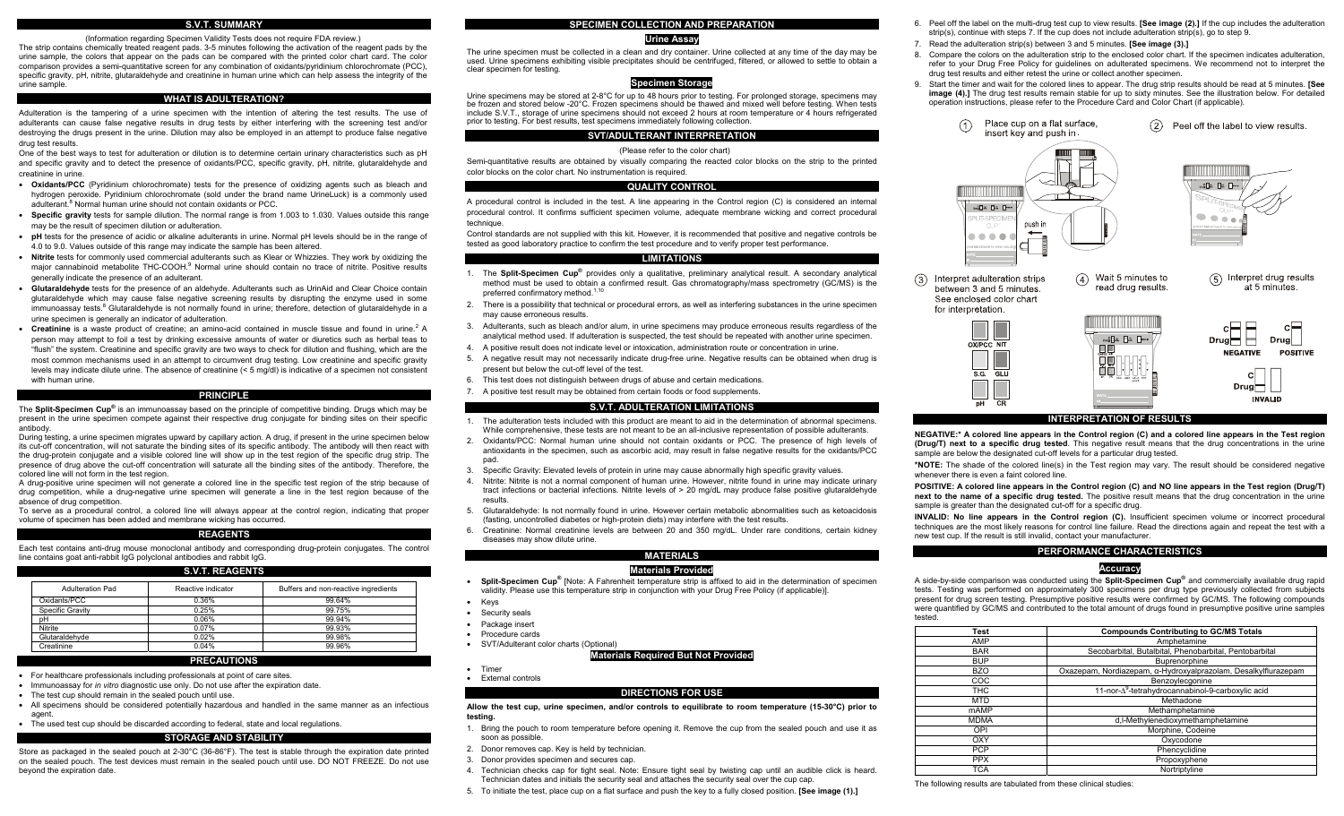### **S.V.T. SUMMARY**

(Information regarding Specimen Validity Tests does not require FDA review.)

The strip contains chemically treated reagent pads. 3-5 minutes following the activation of the reagent pads by the urine sample, the colors that appear on the pads can be compared with the printed color chart card. The color comparison provides a semi-quantitative screen for any combination of oxidants/pyridinium chlorochromate (PCC), specific gravity, pH, nitrite, glutaraldehyde and creatinine in human urine which can help assess the integrity of the urine sample.

### **WHAT IS ADULTERATION?**

Adulteration is the tampering of a urine specimen with the intention of altering the test results. The use of adulterants can cause false negative results in drug tests by either interfering with the screening test and/or destroying the drugs present in the urine. Dilution may also be employed in an attempt to produce false negative drug test results.

One of the best ways to test for adulteration or dilution is to determine certain urinary characteristics such as pH and specific gravity and to detect the presence of oxidants/PCC, specific gravity, pH, nitrite, glutaraldehyde and creatinine in urine.

- **Oxidants/PCC** (Pyridinium chlorochromate) tests for the presence of oxidizing agents such as bleach and hydrogen peroxide. Pyridinium chlorochromate (sold under the brand name UrineLuck) is a commonly used adulterant.<sup>8</sup> Normal human urine should not contain oxidants or PCC.
- **Specific gravity** tests for sample dilution. The normal range is from 1.003 to 1.030. Values outside this range may be the result of specimen dilution or adulteration.
- **pH** tests for the presence of acidic or alkaline adulterants in urine. Normal pH levels should be in the range of 4.0 to 9.0. Values outside of this range may indicate the sample has been altered.
- **Nitrite** tests for commonly used commercial adulterants such as Klear or Whizzies. They work by oxidizing the major cannabinoid metabolite THC-COOH.<sup>9</sup> Normal urine should contain no trace of nitrite. Positive results generally indicate the presence of an adulterant.
- **Glutaraldehyde** tests for the presence of an aldehyde. Adulterants such as UrinAid and Clear Choice contain glutaraldehyde which may cause false negative screening results by disrupting the enzyme used in some immunoassay tests.<sup>8</sup> Glutaraldehyde is not normally found in urine; therefore, detection of glutaraldehyde in a urine specimen is generally an indicator of adulteration.
- **Creatinine** is a waste product of creatine; an amino-acid contained in muscle tissue and found in urine.2 A person may attempt to foil a test by drinking excessive amounts of water or diuretics such as herbal teas to "flush" the system. Creatinine and specific gravity are two ways to check for dilution and flushing, which are the most common mechanisms used in an attempt to circumvent drug testing. Low creatinine and specific gravity levels may indicate dilute urine. The absence of creatinine (< 5 mg/dl) is indicative of a specimen not consistent with human urine.

### **PRINCIPLE**

The **Split-Specimen Cup®** is an immunoassay based on the principle of competitive binding. Drugs which may be present in the urine specimen compete against their respective drug conjugate for binding sites on their specific antibody.

During testing, a urine specimen migrates upward by capillary action. A drug, if present in the urine specimen below its cut-off concentration, will not saturate the binding sites of its specific antibody. The antibody will then react with the drug-protein conjugate and a visible colored line will show up in the test region of the specific drug strip. The presence of drug above the cut-off concentration will saturate all the binding sites of the antibody. Therefore, the colored line will not form in the test region.

A drug-positive urine specimen will not generate a colored line in the specific test region of the strip because of drug competition, while a drug-negative urine specimen will generate a line in the test region because of the absence of drug competition.

To serve as a procedural control, a colored line will always appear at the control region, indicating that proper volume of specimen has been added and membrane wicking has occurred.

### **REAGENTS**

Each test contains anti-drug mouse monoclonal antibody and corresponding drug-protein conjugates. The control line contains goat anti-rabbit IgG polyclonal antibodies and rabbit IgG.

#### **S.V.T. REAGENTS**

| Adulteration Pad | Reactive indicator | Buffers and non-reactive ingredients |
|------------------|--------------------|--------------------------------------|
| Oxidants/PCC     | 0.36%              | 99.64%                               |
| Specific Gravity | 0.25%              | 99.75%                               |
| pH               | 0.06%              | 99.94%                               |
| <b>Nitrite</b>   | 0.07%              | 99.93%                               |
| Glutaraldehyde   | 0.02%              | 99.98%                               |
| Creatinine       | 0.04%              | 99.96%                               |

### **PRECAUTIONS**

- For healthcare professionals including professionals at point of care sites.
- Immunoassay for *in vitro* diagnostic use only. Do not use after the expiration date.
- The test cup should remain in the sealed pouch until use.
- All specimens should be considered potentially hazardous and handled in the same manner as an infectious agent.
- The used test cup should be discarded according to federal, state and local regulations.

### **STORAGE AND STABILITY**

Store as packaged in the sealed pouch at 2-30°C (36-86°F). The test is stable through the expiration date printed on the sealed pouch. The test devices must remain in the sealed pouch until use. DO NOT FREEZE. Do not use beyond the expiration date.

#### **SPECIMEN COLLECTION AND PREPARATION**

### **Urine Assay**

The urine specimen must be collected in a clean and dry container. Urine collected at any time of the day may be used. Urine specimens exhibiting visible precipitates should be centrifuged, filtered, or allowed to settle to obtain a clear specimen for testing.

### **Specimen Storage**

Urine specimens may be stored at 2-8°C for up to 48 hours prior to testing. For prolonged storage, specimens may be frozen and stored below -20°C. Frozen specimens should be thawed and mixed well before testing. When tests include S.V.T., storage of urine specimens should not exceed 2 hours at room temperature or 4 hours refrigerated prior to testing. For best results, test specimens immediately following collection.

## **SVT/ADULTERANT INTERPRETATION**

#### (Please refer to the color chart)

Semi-quantitative results are obtained by visually comparing the reacted color blocks on the strip to the printed color blocks on the color chart. No instrumentation is required.

### **QUALITY CONTROL**

A procedural control is included in the test. A line appearing in the Control region (C) is considered an internal procedural control. It confirms sufficient specimen volume, adequate membrane wicking and correct procedural technique.

Control standards are not supplied with this kit. However, it is recommended that positive and negative controls be tested as good laboratory practice to confirm the test procedure and to verify proper test performance.

#### **LIMITATIONS**

- 1. The **Split-Specimen Cup®** provides only a qualitative, preliminary analytical result. A secondary analytical method must be used to obtain a confirmed result. Gas chromatography/mass spectrometry (GC/MS) is the preferred confirmatory method.<sup>1,10</sup>
- 2. There is a possibility that technical or procedural errors, as well as interfering substances in the urine specimen may cause erroneous results.
- 3. Adulterants, such as bleach and/or alum, in urine specimens may produce erroneous results regardless of the analytical method used. If adulteration is suspected, the test should be repeated with another urine specimen.
- 4. A positive result does not indicate level or intoxication, administration route or concentration in urine.
- 5. A negative result may not necessarily indicate drug-free urine. Negative results can be obtained when drug is present but below the cut-off level of the test.
- 6. This test does not distinguish between drugs of abuse and certain medications.
- 7. A positive test result may be obtained from certain foods or food supplements.

#### **S.V.T. ADULTERATION LIMITATIONS**

- 1. The adulteration tests included with this product are meant to aid in the determination of abnormal specimens. While comprehensive, these tests are not meant to be an all-inclusive representation of possible adulterants.
- 2. Oxidants/PCC: Normal human urine should not contain oxidants or PCC. The presence of high levels of antioxidants in the specimen, such as ascorbic acid, may result in false negative results for the oxidants/PCC pad.
- 3. Specific Gravity: Elevated levels of protein in urine may cause abnormally high specific gravity values.
- 4. Nitrite: Nitrite is not a normal component of human urine. However, nitrite found in urine may indicate urinary tract infections or bacterial infections. Nitrite levels of > 20 mg/dL may produce false positive glutaraldehyde results.
- 5. Glutaraldehyde: Is not normally found in urine. However certain metabolic abnormalities such as ketoacidosis (fasting, uncontrolled diabetes or high-protein diets) may interfere with the test results.
- 6. Creatinine: Normal creatinine levels are between 20 and 350 mg/dL. Under rare conditions, certain kidney diseases may show dilute urine.

### **MATERIALS**

#### **Materials Provided**

- **Split-Specimen Cup®** [Note: A Fahrenheit temperature strip is affixed to aid in the determination of specimen validity. Please use this temperature strip in conjunction with your Drug Free Policy (if applicable)].
- Keys
- Security seals
- Package insert
- 
- SVT/Adulterant color charts (Optional)

#### **Materials Required But Not Provided**

• Timer • External controls

#### **DIRECTIONS FOR USE**

- **Allow the test cup, urine specimen, and/or controls to equilibrate to room temperature (15-30°C) prior to testing.**
- 1. Bring the pouch to room temperature before opening it. Remove the cup from the sealed pouch and use it as soon as possible.
- 2. Donor removes cap. Key is held by technician.
- 3. Donor provides specimen and secures cap.
- 4. Technician checks cap for tight seal. Note: Ensure tight seal by twisting cap until an audible click is heard. Technician dates and initials the security seal and attaches the security seal over the cup cap.
- 5. To initiate the test, place cup on a flat surface and push the key to a fully closed position. **[See image (1).]**
- 6. Peel off the label on the multi-drug test cup to view results. **[See image (2).]** If the cup includes the adulteration strip(s), continue with steps 7. If the cup does not include adulteration strip(s), go to step 9.
- 7. Read the adulteration strip(s) between 3 and 5 minutes. **[See image (3).]**
- 8. Compare the colors on the adulteration strip to the enclosed color chart. If the specimen indicates adulteration, refer to your Drug Free Policy for guidelines on adulterated specimens. We recommend not to interpret the drug test results and either retest the urine or collect another specimen.
- 9. Start the timer and wait for the colored lines to appear. The drug strip results should be read at 5 minutes. **[See image (4).**] The drug test results remain stable for up to sixty minutes. See the illustration below. For detailed operation instructions, please refer to the Procedure Card and Color Chart (if applicable).





**NEGATIVE:\* A colored line appears in the Control region (C) and a colored line appears in the Test region (Drug/T) next to a specific drug tested**. This negative result means that the drug concentrations in the urine sample are below the designated cut-off levels for a particular drug tested.

**\*NOTE:** The shade of the colored line(s) in the Test region may vary. The result should be considered negative whenever there is even a faint colored line.

**POSITIVE: A colored line appears in the Control region (C) and NO line appears in the Test region (Drug/T) next to the name of a specific drug tested.** The positive result means that the drug concentration in the urine sample is greater than the designated cut-off for a specific drug.

**INVALID: No line appears in the Control region (C).** Insufficient specimen volume or incorrect procedural techniques are the most likely reasons for control line failure. Read the directions again and repeat the test with a new test cup. If the result is still invalid, contact your manufacturer.

#### **PERFORMANCE CHARACTERISTICS**

#### **Accuracy**

A side-by-side comparison was conducted using the **Split-Specimen Cup®** and commercially available drug rapid tests. Testing was performed on approximately 300 specimens per drug type previously collected from subjects present for drug screen testing. Presumptive positive results were confirmed by GC/MS. The following compounds were quantified by GC/MS and contributed to the total amount of drugs found in presumptive positive urine samples tested.

| Test        | <b>Compounds Contributing to GC/MS Totals</b>                  |
|-------------|----------------------------------------------------------------|
| AMP         | Amphetamine                                                    |
| <b>BAR</b>  | Secobarbital, Butalbital, Phenobarbital, Pentobarbital         |
| <b>BUP</b>  | Buprenorphine                                                  |
| <b>BZO</b>  | Oxazepam, Nordiazepam, α-Hydroxyalprazolam, Desalkylflurazepam |
| COC         | Benzoylecgonine                                                |
| <b>THC</b>  | 11-nor-Δ <sup>9</sup> -tetrahydrocannabinol-9-carboxylic acid  |
| <b>MTD</b>  | Methadone                                                      |
| <b>mAMP</b> | Methamphetamine                                                |
| <b>MDMA</b> | d,I-Methylenedioxymethamphetamine                              |
| OPI         | Morphine, Codeine                                              |
| OXY         | Oxvcodone                                                      |
| <b>PCP</b>  | Phencyclidine                                                  |
| <b>PPX</b>  | Propoxyphene                                                   |
| <b>TCA</b>  | Nortriptyline                                                  |

The following results are tabulated from these clinical studies:

• Procedure cards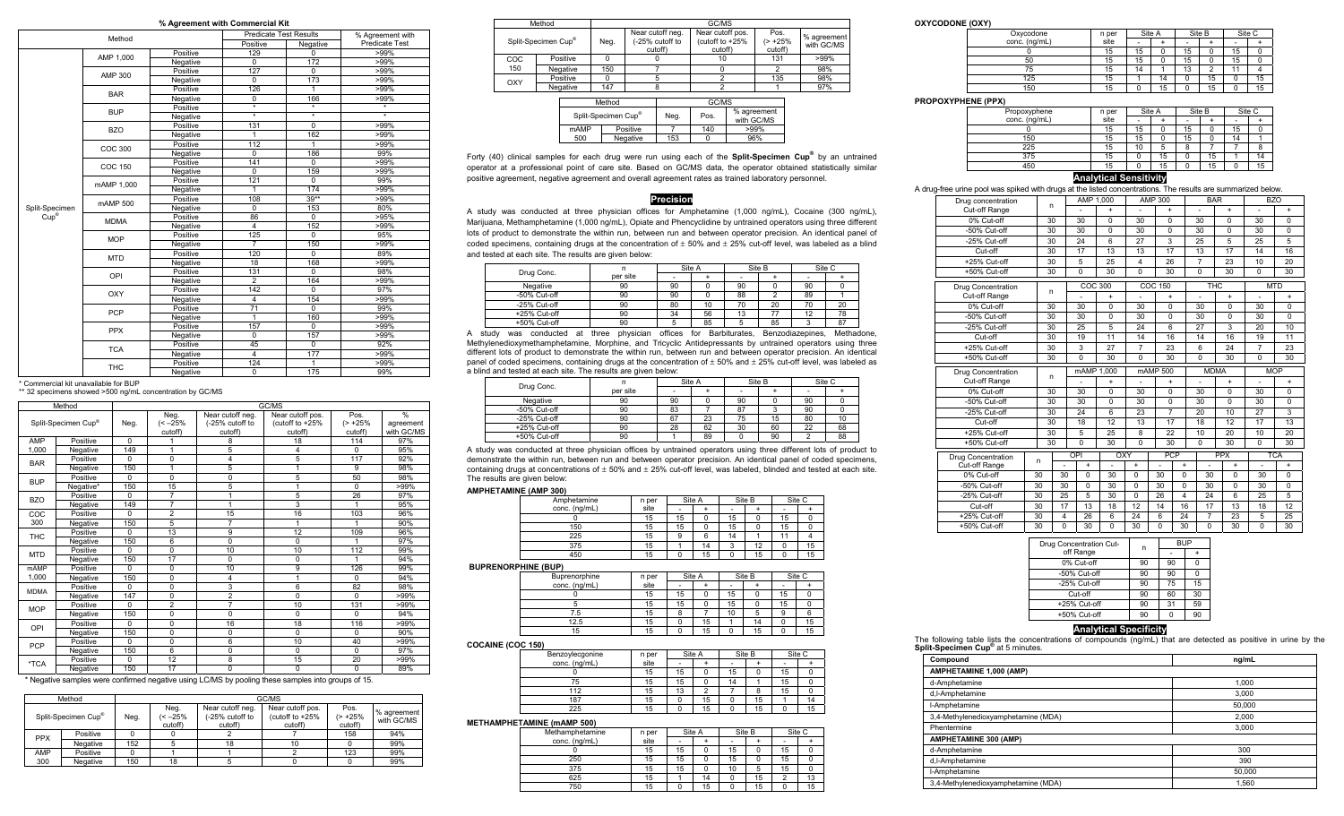### **% Agreement with Commercial Kit**

|                | Method      |          | <b>Predicate Test Results</b> |                   | % Agreement with         |  |
|----------------|-------------|----------|-------------------------------|-------------------|--------------------------|--|
|                |             |          | Positive                      | Negative          | Predicate Test           |  |
|                | AMP 1,000   | Positive | 129                           | 0                 | $>99\%$                  |  |
|                |             | Negative | $\Omega$                      | 172               | $>99\%$                  |  |
|                | AMP 300     | Positive | 127                           | $\overline{0}$    | $>99\%$                  |  |
|                |             | Negative | 0                             | 173               | $>99\%$                  |  |
|                |             | Positive | 126                           | 1                 | $>99\%$                  |  |
|                | <b>BAR</b>  | Negative | $\mathbf 0$                   | 166               | $>99\%$                  |  |
|                |             | Positive | $\star$                       | $\overline{\ast}$ | $\overline{\phantom{a}}$ |  |
|                | <b>BUP</b>  | Negative | $\star$                       | $\ast$            | $\star$                  |  |
|                |             | Positive | 131                           | 0                 | $>99\%$                  |  |
|                | <b>BZO</b>  | Negative | 1                             | 162               | $>99\%$                  |  |
|                |             | Positive | 112                           | 1                 | $>99\%$                  |  |
|                | COC 300     | Negative | $\Omega$                      | 186               | 99%                      |  |
|                |             | Positive | 141                           | $\Omega$          | $>99\%$                  |  |
|                | COC 150     | Negative | $\Omega$                      | 159               | $>99\%$                  |  |
|                |             | Positive | 121                           | 0                 | 99%                      |  |
|                | mAMP 1,000  | Negative | 1                             | 174               | $>99\%$                  |  |
|                | mAMP 500    | Positive | 108                           | $39**$            | $>99\%$                  |  |
| Split-Specimen |             | Negative | $\Omega$                      | 153               | 80%                      |  |
| $Cup^*$        | <b>MDMA</b> | Positive | 86                            | 0                 | >95%                     |  |
|                |             | Negative | $\overline{4}$                | 152               | $>99\%$                  |  |
|                |             | Positive | 125                           | $\overline{0}$    | 95%                      |  |
|                | <b>MOP</b>  | Negative | $\overline{7}$                | 150               | $>99\%$                  |  |
|                |             | Positive | 120                           | $\Omega$          | 89%                      |  |
|                | <b>MTD</b>  | Negative | 18                            | 168               | $>99\%$                  |  |
|                |             | Positive | 131                           | $\overline{0}$    | 98%                      |  |
|                | OPI         | Negative | $\overline{2}$                | 164               | $>99\%$                  |  |
|                |             | Positive | 142                           | 0                 | 97%                      |  |
|                | OXY         | Negative | $\overline{4}$                | 154               | $>99\%$                  |  |
|                |             | Positive | 71                            | $\overline{0}$    | 99%                      |  |
|                | <b>PCP</b>  | Negative | 1                             | 160               | $>99\%$                  |  |
|                |             | Positive | 157                           | $\mathbf 0$       | $>99\%$                  |  |
|                | <b>PPX</b>  | Negative | $\overline{0}$                | 157               | $>99\%$                  |  |
|                |             | Positive | 45                            | $\overline{0}$    | 92%                      |  |
|                | <b>TCA</b>  | Negative | $\overline{4}$                | 177               | $>99\%$                  |  |
|                |             | Positive | 124                           | 1                 | >99%                     |  |
|                | <b>THC</b>  | Negative | 0                             | 175               | 99%                      |  |

\* Commercial kit unavailable for BUP

\*\* 32 specimens showed >500 ng/mL concentration by GC/MS

|             | Method                                                                                                                                                                                                           |          |                               | GC/MS<br>Near cutoff neg.<br>Near cutoff pos.<br>Pos.<br>(-25% cutoff to<br>(cutoff to +25%<br>$($ > +25%<br>cutoff)<br>cutoff)<br>cutoff)<br>18<br>114<br>8<br>5<br>4<br>$\Omega$<br>117<br>5<br>4<br>5<br>9<br>5<br>50<br>$\Omega$<br>5<br>$\Omega$ |             |                |                                          |
|-------------|------------------------------------------------------------------------------------------------------------------------------------------------------------------------------------------------------------------|----------|-------------------------------|-------------------------------------------------------------------------------------------------------------------------------------------------------------------------------------------------------------------------------------------------------|-------------|----------------|------------------------------------------|
|             | Split-Specimen Cup®                                                                                                                                                                                              | Neg.     | Neg.<br>$(< -25\%$<br>cutoff) |                                                                                                                                                                                                                                                       |             |                | $\frac{0}{0}$<br>agreement<br>with GC/MS |
| AMP         | Positive                                                                                                                                                                                                         | $\Omega$ |                               |                                                                                                                                                                                                                                                       |             |                | 97%                                      |
| 1,000       | Negative                                                                                                                                                                                                         | 149      | 1                             |                                                                                                                                                                                                                                                       |             |                | 95%                                      |
|             | Positive                                                                                                                                                                                                         | $\Omega$ | 0                             |                                                                                                                                                                                                                                                       |             |                | 92%                                      |
|             | Negative                                                                                                                                                                                                         | 150      | $\mathbf{1}$                  |                                                                                                                                                                                                                                                       |             |                | 98%                                      |
|             | Positive                                                                                                                                                                                                         | $\Omega$ | $\Omega$                      |                                                                                                                                                                                                                                                       |             |                | 98%                                      |
|             | Negative*                                                                                                                                                                                                        | 150      | 15                            |                                                                                                                                                                                                                                                       |             |                | $>99\%$                                  |
|             | Positive                                                                                                                                                                                                         | $\Omega$ | 7                             | 1                                                                                                                                                                                                                                                     | 5           | 26             | 97%                                      |
|             | Negative                                                                                                                                                                                                         | 149      | $\overline{7}$                |                                                                                                                                                                                                                                                       | 3           | 1              | 95%                                      |
| COC         | Positive                                                                                                                                                                                                         | $\Omega$ | $\overline{2}$                | 15                                                                                                                                                                                                                                                    | 16          | 103            | 96%                                      |
| 300         | Negative                                                                                                                                                                                                         | 150      | 5                             | 7                                                                                                                                                                                                                                                     |             | 1              | 90%                                      |
|             | Positive                                                                                                                                                                                                         | $\Omega$ | 13                            | 9                                                                                                                                                                                                                                                     | 12          | 109            | 96%                                      |
|             | Negative                                                                                                                                                                                                         | 150      | 6                             | $\Omega$                                                                                                                                                                                                                                              | $\Omega$    | 1              | 97%                                      |
|             | Positive                                                                                                                                                                                                         | $\Omega$ | 0                             | 10                                                                                                                                                                                                                                                    | 10          | 112            | 99%                                      |
|             | Negative                                                                                                                                                                                                         | 150      | 17                            | $\mathbf 0$                                                                                                                                                                                                                                           | $\mathbf 0$ | 1              | 94%                                      |
| <b>mAMP</b> | Positive                                                                                                                                                                                                         | $\Omega$ | 0                             | 10                                                                                                                                                                                                                                                    | 9           | 126            | 99%                                      |
| 1.000       | Negative                                                                                                                                                                                                         | 150      | 0                             | 4                                                                                                                                                                                                                                                     |             | $\Omega$       | 94%                                      |
|             | Positive                                                                                                                                                                                                         | $\Omega$ | 0                             | 3                                                                                                                                                                                                                                                     | 6           | 82             | 98%                                      |
|             | Negative                                                                                                                                                                                                         | 147      | 0                             | $\overline{2}$                                                                                                                                                                                                                                        | $\Omega$    | $\Omega$       | $>99\%$                                  |
|             | Positive                                                                                                                                                                                                         | $\Omega$ | $\overline{2}$                | 7                                                                                                                                                                                                                                                     | 10          | 131            | $>99\%$                                  |
|             | <b>BAR</b><br><b>BUP</b><br><b>BZO</b><br><b>THC</b><br><b>MTD</b><br><b>MDMA</b><br><b>MOP</b><br>Negative<br>Positive<br>OPI<br>Negative<br>Positive<br><b>PCP</b><br>Negative<br>Positive<br>*TCA<br>Negative | 150      | 0                             | 0                                                                                                                                                                                                                                                     | $\Omega$    | $\Omega$       | 94%                                      |
|             |                                                                                                                                                                                                                  | $\Omega$ | 0                             | 16                                                                                                                                                                                                                                                    | 18          | 116            | $>99\%$                                  |
|             |                                                                                                                                                                                                                  | 150      | 0                             | $\Omega$                                                                                                                                                                                                                                              | $\Omega$    | $\Omega$       | 90%                                      |
|             |                                                                                                                                                                                                                  | $\Omega$ | 0                             | 6                                                                                                                                                                                                                                                     | 10          | 40             | $>99\%$                                  |
|             |                                                                                                                                                                                                                  | 150      | 6                             | $\Omega$                                                                                                                                                                                                                                              | $\Omega$    | $\overline{0}$ | 97%                                      |
|             |                                                                                                                                                                                                                  | $\Omega$ | 12                            | 8                                                                                                                                                                                                                                                     | 15          | 20             | $>99\%$                                  |
|             |                                                                                                                                                                                                                  | 150      | 17                            | $\Omega$                                                                                                                                                                                                                                              | $\Omega$    | $\Omega$       | 89%                                      |

\* Negative samples were confirmed negative using LC/MS by pooling these samples into groups of 15.

|                     | GC/MS<br>Method |      |                            |                                                |                                                |                                |                           |
|---------------------|-----------------|------|----------------------------|------------------------------------------------|------------------------------------------------|--------------------------------|---------------------------|
| Split-Specimen Cup® |                 | Neg. | Neg.<br>(< –25%<br>cutoff) | Near cutoff neg.<br>(-25% cutoff to<br>cutoff) | Near cutoff pos.<br>(cutoff to +25%<br>cutoff) | Pos.<br>$(> +25\%)$<br>cutoff) | % agreement<br>with GC/MS |
| <b>PPX</b>          | Positive        |      |                            |                                                |                                                | 158                            | 94%                       |
|                     | Negative        | 152  |                            | 18                                             | 10                                             |                                | 99%                       |
| AMP                 | Positive        |      |                            |                                                |                                                | 123                            | 99%                       |
| 300                 | Negative        | 150  | 18                         |                                                |                                                |                                | 99%                       |

|            | Method   |        | GC/MS                                   |       |                                                |                                                |                               |                           |
|------------|----------|--------|-----------------------------------------|-------|------------------------------------------------|------------------------------------------------|-------------------------------|---------------------------|
|            |          |        | Split-Specimen Cup <sup>®</sup><br>Neg. |       | Near cutoff neg.<br>(-25% cutoff to<br>cutoff) | Near cutoff pos.<br>(cutoff to +25%<br>cutoff) | Pos.<br>$($ > +25%<br>cutoff) | % agreement<br>with GC/MS |
| <b>COC</b> | Positive |        |                                         | 10    | 131                                            | $>99\%$                                        |                               |                           |
| 150        | Negative | 150    |                                         |       |                                                | 98%                                            |                               |                           |
| OXY        | Positive |        |                                         |       | 135                                            | 98%                                            |                               |                           |
|            | Negative | 147    |                                         |       |                                                | 97%                                            |                               |                           |
|            |          | Method |                                         | GC/MS |                                                |                                                |                               |                           |

| Split-Specimen Cup® |          | Neg. | Pos. | % agreement<br>with GC/MS |  |
|---------------------|----------|------|------|---------------------------|--|
| <b>mAMP</b>         | Positive |      | 140  | $>99\%$                   |  |
| 500                 | Negative | 153  |      | 96%                       |  |
|                     |          |      |      |                           |  |

Forty (40) clinical samples for each drug were run using each of the **Split-Specimen Cup®** by an untrained operator at a professional point of care site. Based on GC/MS data, the operator obtained statistically similar positive agreement, negative agreement and overall agreement rates as trained laboratory personnel.

## **Precision**

A study was conducted at three physician offices for Amphetamine (1,000 ng/mL), Cocaine (300 ng/mL), Marijuana, Methamphetamine (1,000 ng/mL), Opiate and Phencyclidine by untrained operators using three different lots of product to demonstrate the within run, between run and between operator precision. An identical panel of coded specimens, containing drugs at the concentration of  $\pm$  50% and  $\pm$  25% cut-off level, was labeled as a blind and tested at each site. The results are given below:

| Drug Conc.   |          | Site A |    | Site B |    | Site C |    |
|--------------|----------|--------|----|--------|----|--------|----|
|              | per site |        |    |        |    |        |    |
| Negative     | 90       | 90     |    | 90     |    | 90     |    |
| -50% Cut-off | 90       | 90     |    | 88     |    | 89     |    |
| -25% Cut-off | 90       | 80     | 10 | 70     | 20 | 70     | 20 |
| +25% Cut-off | 90       | 34     | 56 | 13     |    | 12     | 78 |
| +50% Cut-off | 90       |        | 85 |        | 85 |        | 87 |

A study was conducted at three physician offices for Barbiturates, Benzodiazepines, Methadone, Methylenedioxymethamphetamine, Morphine, and Tricyclic Antidepressants by untrained operators using three different lots of product to demonstrate the within run, between run and between operator precision. An identical panel of coded specimens, containing drugs at the concentration of  $\pm 50\%$  and  $\pm 25\%$  cut-off level, was labeled as a blind and tested at each site. The results are given below:

| Drug Conc.   |          | Site A |    |    | Site B | Site C |    |
|--------------|----------|--------|----|----|--------|--------|----|
|              | per site |        |    |    |        |        |    |
| Negative     | 90       | 90     |    | 90 |        | 90     |    |
| -50% Cut-off | 90       | 83     |    |    |        | 90     |    |
| -25% Cut-off | 90       | 67     | 23 | 75 | 15     | 80     |    |
| +25% Cut-off | 90       | 28     | 62 | 30 | 60     | 22     | 68 |
| +50% Cut-off | 90       |        | 89 |    | 90     |        | 88 |

A study was conducted at three physician offices by untrained operators using three different lots of product to demonstrate the within run, between run and between operator precision. An identical panel of coded specimens, containing drugs at concentrations of  $\pm 50\%$  and  $\pm 25\%$  cut-off level, was labeled, blinded and tested at each site. The results are given below:

### **AMPHETAMINE (AMP 300)**

| Amphetamine   | n per |    | Site A |    | Site B | Site C |    |
|---------------|-------|----|--------|----|--------|--------|----|
| conc. (ng/mL) | site  |    |        | ۰  |        | ۰      |    |
|               | 15    | 15 |        | 15 |        | 15     |    |
| 150           | 15    | 15 |        | 15 |        | 15     |    |
| 225           | 15    |    |        | 14 |        |        |    |
| 375           | 15    |    | 14     |    | 12     |        | 15 |
| 450           | 15    |    | 15     |    | 15     |        | 15 |

### **BUPRENORPHINE (BUP)**

| Buprenorphine | Site A<br>n per |    |    | Site B | Site C |    |    |
|---------------|-----------------|----|----|--------|--------|----|----|
| conc. (ng/mL) | site            | ۰  |    |        |        |    |    |
|               | 15              | 15 |    | 15     |        | 15 |    |
|               | 15              | 15 |    | 15     |        | 15 |    |
| 7.5           | 15              |    |    | 10     |        | 9  |    |
| 12.5          | 15              |    | 15 |        | 14     |    | 15 |
| 15            | 15              |    | 15 |        | 15     |    | 15 |

### **COCAINE (COC 150)**

| - - - -         |       |    |        |    |        |    |        |
|-----------------|-------|----|--------|----|--------|----|--------|
| Benzoylecgonine | n per |    | Site A |    | Site B |    | Site C |
| conc. (ng/mL)   | site  |    |        |    |        | ۰  |        |
|                 | 15    | 15 |        | 15 |        | 15 |        |
| 75              | 15    | 15 |        | 14 |        | 15 |        |
| 112             | 15    | 13 |        |    |        | 15 |        |
| 187             | 15    |    | 15     |    | 15     |    | 14     |
| 225             | 15    |    | 15     |    | 15     |    | 15     |

### **METHAMPHETAMINE (mAMP 500)**

| Methamphetamine | n per |    | Site A |    | Site B |    | Site C |
|-----------------|-------|----|--------|----|--------|----|--------|
| conc. (ng/mL)   | site  |    |        |    |        |    |        |
|                 | 15    | 15 |        | 15 |        | 15 |        |
| 250             | 15    | 15 |        | 15 |        | 15 |        |
| 375             | 15    | 15 |        | 10 |        | 15 |        |
| 625             | 15    |    | 14     |    | 15     |    | 13     |
| 750             | 15    |    | 15     |    | 15     |    | 15     |

#### **OXYCODONE (OXY)**

| Oxycodone     | n per | Site A |    |    | Site B | Site C |    |
|---------------|-------|--------|----|----|--------|--------|----|
| conc. (ng/mL) | site  |        |    |    |        | ۰      |    |
|               | 15    | 15     |    | 15 |        | 15     |    |
| 50            | 15    | 15     |    | 15 |        | 15     |    |
| 75            | 15    | 14     |    | 13 |        |        |    |
| 125           | 15    |        | 14 |    | 15     |        | 15 |
| 150           | 15    |        | 15 |    | 15     |        | 15 |

### **PROPOXYPHENE (PPX)**

| Propoxyphene  | n per |    | Site A | Site B |    |    | Site C |
|---------------|-------|----|--------|--------|----|----|--------|
| conc. (ng/mL) | site  |    |        | ۰      |    |    |        |
|               | 15    | 15 |        | 15     |    | 15 |        |
| 150           | 15    | 15 |        | 15     |    | 14 |        |
| 225           | 15    | 10 | 5      | 8      |    |    |        |
| 375           | 15    |    | 15     | 0      | 15 |    | 14     |
| 450           | 15    |    | 15     |        | 15 |    | 15     |

### **Analytical Sensitivity**

A drug-free urine pool was spiked with drugs at the listed concentrations. The results are summarized below.

| Drug concentration           |          | n                            | AMP 1,000      |                  |                | <b>AMP 300</b> |                         | <b>BAR</b>               |             | BZO                      |             |
|------------------------------|----------|------------------------------|----------------|------------------|----------------|----------------|-------------------------|--------------------------|-------------|--------------------------|-------------|
| Cut-off Range                |          |                              |                | $+$              |                | $+$            |                         | ÷                        | $\ddot{}$   | ÷                        | $\ddot{}$   |
| 0% Cut-off                   |          | 30                           | 30             | $\Omega$         | 30             | 0              |                         | 30                       | $\Omega$    | 30                       | $\Omega$    |
| -50% Cut-off                 |          | 30                           | 30             | 0                | 30             | 0              |                         | 30                       | 0           | 30                       | 0           |
| -25% Cut-off                 |          | 30                           | 24             | 6                | 27             | 3              |                         | 25                       | 5           | 25                       | 5           |
| Cut-off                      |          | 30                           | 17             | 13               | 13             | 17             |                         | 13                       | 17          | 14                       | 16          |
| +25% Cut-off                 |          | 30                           | $\overline{5}$ | 25               | 4              | 26             |                         | $\overline{7}$           | 23          | 10                       | 20          |
| +50% Cut-off                 |          | 30                           | $\overline{0}$ | 30               | 0              | 30             |                         | 0                        | 30          | $\mathbf 0$              | 30          |
| Drug Concentration           |          |                              |                | COC 300          |                | <b>COC 150</b> |                         | <b>THC</b>               |             | <b>MTD</b>               |             |
| Cut-off Range                |          | n                            | ٠              | $\ddot{}$        | $\overline{a}$ | $\ddot{}$      |                         | $\overline{\phantom{m}}$ | $\ddot{}$   | $\overline{\phantom{0}}$ | $\ddot{}$   |
| 0% Cut-off                   |          | 30                           | 30             | $\Omega$         | 30             | $\Omega$       |                         | 30                       | 0           | 30                       | $\Omega$    |
| -50% Cut-off                 |          | 30                           | 30             | $\Omega$         | 30             | $\Omega$       |                         | 30                       | $\Omega$    | 30                       | $\Omega$    |
| -25% Cut-off                 |          | 30                           | 25             | $\overline{5}$   | 24             | $\overline{6}$ |                         | 27                       | 3           | 20                       | 10          |
| Cut-off                      |          | 30                           | 19             | 11               | 14             | 16             |                         | 14                       | 16          | 19                       | 11          |
| +25% Cut-off                 |          | 30                           | 3              | 27               | $\overline{7}$ | 23             |                         | 6                        | 24          | $\overline{7}$           | 23          |
| +50% Cut-off                 |          | 30                           | $\Omega$       | 30               | $\Omega$       | 30             |                         | $\Omega$                 | 30          | $\Omega$                 | 30          |
| Drug Concentration           |          | n                            |                | mAMP 1.000       |                | mAMP 500       |                         | <b>MDMA</b>              |             | <b>MOP</b>               |             |
| Cut-off Range                |          |                              |                | $\ddot{}$        |                | $\ddot{}$      |                         |                          | $\ddot{}$   |                          | $\ddot{}$   |
| 0% Cut-off                   |          | 30                           | 30             | $\Omega$         | 30             | $\Omega$       |                         | 30                       | $\Omega$    | 30                       | $\Omega$    |
| -50% Cut-off                 |          | 30                           | 30             | $\mathbf 0$      | 30             | $\mathbf 0$    |                         | 30                       | $\mathbf 0$ | 30                       | $\mathbf 0$ |
| -25% Cut-off                 |          | 30                           | 24             | 6                | 23             | $\overline{7}$ |                         | 20                       | 10          | 27                       | 3           |
| Cut-off                      |          | 30                           | 18             | 12               | 13             | 17             |                         | 18                       | 12          | 17                       | 13          |
| +25% Cut-off                 |          | 30                           | 5              | 25               | 8              | 22             |                         | 10                       | 20          | 10                       | 20          |
| +50% Cut-off                 |          | 30                           | $\Omega$       | 30               | $\Omega$       | 30             |                         | $\mathbf 0$              | 30          | 0                        | 30          |
| Drug Concentration           |          |                              | OPI            | OXY              |                |                | <b>PCP</b>              |                          | <b>PPX</b>  |                          | <b>TCA</b>  |
| Cut-off Range                | n        | ÷                            | $\ddot{}$      | L.               | $\ddot{}$      | ÷              | $+$                     |                          | $\ddot{}$   | L.                       | $+$         |
| 0% Cut-off                   | 30       | 30                           | $\Omega$       | 30               | $\Omega$       | 30             | $\Omega$                | 30                       | $\Omega$    | 30                       | $\Omega$    |
| -50% Cut-off                 | 30       | 30                           | $\Omega$       | 30               | $\Omega$       | 30             | $\Omega$                | 30                       | $\Omega$    | 30                       | $\Omega$    |
| -25% Cut-off                 | 30       | 25                           | 5              | 30               | $\Omega$       | 26             | $\overline{\mathbf{4}}$ | 24                       | 6           | 25                       | 5           |
|                              | 30       | 17                           | 13             | 18               | 12             | 14             | 16                      | 17                       | 13          | 18                       | 12          |
| Cut-off                      |          |                              |                |                  |                |                |                         |                          |             |                          |             |
| +25% Cut-off<br>+50% Cut-off | 30<br>30 | $\overline{\mathbf{4}}$<br>0 | 26<br>30       | 6<br>$\mathbf 0$ | 24<br>30       | 6<br>0         | 24<br>30                | $\overline{7}$<br>0      | 23<br>30    | 5<br>0                   | 25<br>30    |

| Drug Concentration Cut- | n  | <b>BUP</b> |    |  |  |
|-------------------------|----|------------|----|--|--|
| off Range               |    |            |    |  |  |
| 0% Cut-off              | 90 | 90         | Ω  |  |  |
| -50% Cut-off            | 90 | 90         | 0  |  |  |
| -25% Cut-off            | 90 | 75         | 15 |  |  |
| Cut-off                 | 90 | 60         | 30 |  |  |
| +25% Cut-off            | 90 | 31         | 59 |  |  |
| +50% Cut-off            | 90 |            | 90 |  |  |
|                         |    |            |    |  |  |

### **Analytical Specificity**

The following table lists the concentrations of compounds (ng/mL) that are detected as positive in urine by the **Split-Specimen Cup®** at 5 minutes.

| Compound                            | ng/mL  |
|-------------------------------------|--------|
| AMPHETAMINE 1,000 (AMP)             |        |
| d-Amphetamine                       | 1,000  |
| d,I-Amphetamine                     | 3.000  |
| I-Amphetamine                       | 50.000 |
| 3,4-Methylenedioxyamphetamine (MDA) | 2.000  |
| Phentermine                         | 3.000  |
| AMPHETAMINE 300 (AMP)               |        |
| d-Amphetamine                       | 300    |
| d,I-Amphetamine                     | 390    |
| I-Amphetamine                       | 50,000 |
| 3,4-Methylenedioxyamphetamine (MDA) | 1.560  |